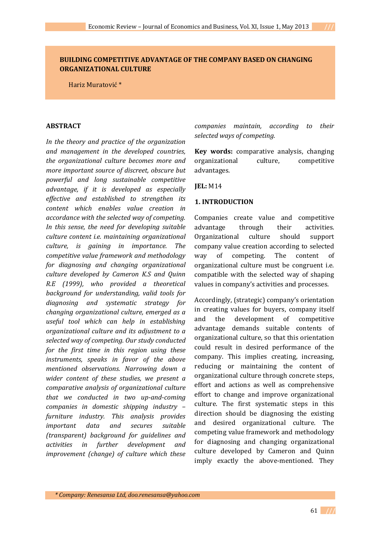# **BUILDING COMPETITIVE ADVANTAGE OF THE COMPANY BASED ON CHANGING ORGANIZATIONAL CULTURE**

Hariz Muratović \*

### **ABSTRACT**

*In the theory and practice of the organization and management in the developed countries, the organizational culture becomes more and more important source of discreet, obscure but powerful and long sustainable competitive advantage, if it is developed as especially effective and established to strengthen its content which enables value creation in accordance with the selected way of competing. In this sense, the need for developing suitable culture content i.e. maintaining organizational culture, is gaining in importance. The competitive value framework and methodology for diagnosing and changing organizational culture developed by Cameron K.S and Quinn R.E (1999), who provided a theoretical background for understanding, valid tools for diagnosing and systematic strategy for changing organizational culture, emerged as a useful tool which can help in establishing organizational culture and its adjustment to a selected way of competing. Our study conducted for the first time in this region using these instruments, speaks in favor of the above mentioned observations. Narrowing down a wider content of these studies, we present a comparative analysis of organizational culture that we conducted in two up-and-coming companies in domestic shipping industry – furniture industry. This analysis provides important data and secures suitable (transparent) background for guidelines and activities in further development and improvement (change) of culture which these*  *companies maintain, according to their selected ways of competing.* 

**Key words:** comparative analysis, changing organizational culture, competitive advantages.

**JEL:** M14

### **1. INTRODUCTION**

Companies create value and competitive advantage through their activities. Organizational culture should support company value creation according to selected way of competing. The content of organizational culture must be congruent i.e. compatible with the selected way of shaping values in company's activities and processes.

Accordingly, (strategic) company's orientation in creating values for buyers, company itself and the development of competitive advantage demands suitable contents of organizational culture, so that this orientation could result in desired performance of the company. This implies creating, increasing, reducing or maintaining the content of organizational culture through concrete steps, effort and actions as well as comprehensive effort to change and improve organizational culture. The first systematic steps in this direction should be diagnosing the existing and desired organizational culture. The competing value framework and methodology for diagnosing and changing organizational culture developed by Cameron and Quinn imply exactly the above-mentioned. They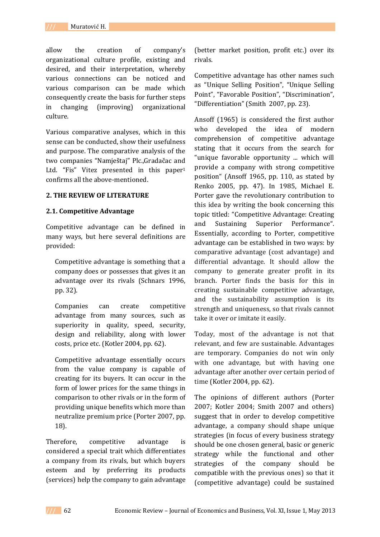allow the creation of company's organizational culture profile, existing and desired, and their interpretation, whereby various connections can be noticed and various comparison can be made which consequently create the basis for further steps in changing (improving) organizational culture.

Various comparative analyses, which in this sense can be conducted, show their usefulness and purpose. The comparative analysis of the two companies "Namještaj" Plc.,Gradačac and Ltd. "Fis" Vitez presented in this paper<sup>1</sup> confirms all the above-mentioned.

#### **2. THE REVIEW OF LITERATURE**

#### **2.1. Competitive Advantage**

Competitive advantage can be defined in many ways, but here several definitions are provided:

Competitive advantage is something that a company does or possesses that gives it an advantage over its rivals (Schnars 1996, pp. 32).

Companies can create competitive advantage from many sources, such as superiority in quality, speed, security, design and reliability, along with lower costs, price etc. (Kotler 2004, pp. 62).

Competitive advantage essentially occurs from the value company is capable of creating for its buyers. It can occur in the form of lower prices for the same things in comparison to other rivals or in the form of providing unique benefits which more than neutralize premium price (Porter 2007, pp. 18).

Therefore, competitive advantage is considered a special trait which differentiates a company from its rivals, but which buyers esteem and by preferring its products (services) help the company to gain advantage

(better market position, profit etc.) over its rivals.

Competitive advantage has other names such as "Unique Selling Position", "Unique Selling Point", "Favorable Position", "Discrimination", "Differentiation" (Smith 2007, pp. 23).

Ansoff (1965) is considered the first author who developed the idea of modern comprehension of competitive advantage stating that it occurs from the search for "unique favorable opportunity ... which will provide a company with strong competitive position" (Ansoff 1965, pp. 110, as stated by Renko 2005, pp. 47). In 1985, Michael E. Porter gave the revolutionary contribution to this idea by writing the book concerning this topic titled: "Competitive Advantage: Creating and Sustaining Superior Performance". Essentially, according to Porter, competitive advantage can be established in two ways: by comparative advantage (cost advantage) and differential advantage. It should allow the company to generate greater profit in its branch. Porter finds the basis for this in creating sustainable competitive advantage, and the sustainability assumption is its strength and uniqueness, so that rivals cannot take it over or imitate it easily.

Today, most of the advantage is not that relevant, and few are sustainable. Advantages are temporary. Companies do not win only with one advantage, but with having one advantage after another over certain period of time (Kotler 2004, pp. 62).

The opinions of different authors (Porter 2007; Kotler 2004; Smith 2007 and others) suggest that in order to develop competitive advantage, a company should shape unique strategies (in focus of every business strategy should be one chosen general, basic or generic strategy while the functional and other strategies of the company should be compatible with the previous ones) so that it (competitive advantage) could be sustained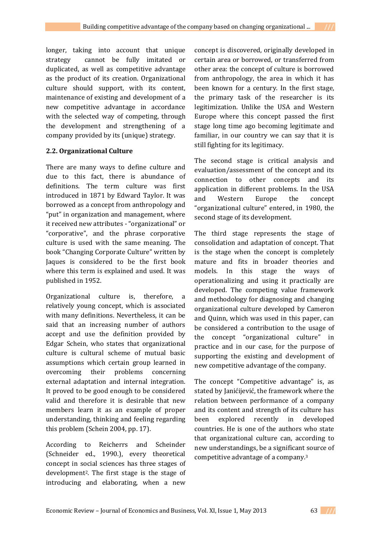longer, taking into account that unique strategy cannot be fully imitated or duplicated, as well as competitive advantage as the product of its creation. Organizational culture should support, with its content, maintenance of existing and development of a new competitive advantage in accordance with the selected way of competing, through the development and strengthening of a company provided by its (unique) strategy.

# **2.2. Organizational Culture**

There are many ways to define culture and due to this fact, there is abundance of definitions. The term culture was first introduced in 1871 by Edward Taylor. It was borrowed as a concept from anthropology and "put" in organization and management, where it received new attributes - "organizational" or "corporative", and the phrase corporative culture is used with the same meaning. The book "Changing Corporate Culture" written by Jaques is considered to be the first book where this term is explained and used. It was published in 1952.

Organizational culture is, therefore, a relatively young concept, which is associated with many definitions. Nevertheless, it can be said that an increasing number of authors accept and use the definition provided by Edgar Schein, who states that organizational culture is cultural scheme of mutual basic assumptions which certain group learned in overcoming their problems concerning external adaptation and internal integration. It proved to be good enough to be considered valid and therefore it is desirable that new members learn it as an example of proper understanding, thinking and feeling regarding this problem (Schein 2004, pp. 17).

According to Reicherrs and Scheinder (Schneider ed., 1990.), every theoretical concept in social sciences has three stages of development2. The first stage is the stage of introducing and elaborating, when a new

concept is discovered, originally developed in certain area or borrowed, or transferred from other area: the concept of culture is borrowed from anthropology, the area in which it has been known for a century. In the first stage, the primary task of the researcher is its legitimization. Unlike the USA and Western Europe where this concept passed the first stage long time ago becoming legitimate and familiar, in our country we can say that it is still fighting for its legitimacy.

The second stage is critical analysis and evaluation/assessment of the concept and its connection to other concepts and its application in different problems. In the USA and Western Europe the concept "organizational culture" entered, in 1980, the second stage of its development.

The third stage represents the stage of consolidation and adaptation of concept. That is the stage when the concept is completely mature and fits in broader theories and models. In this stage the ways of operationalizing and using it practically are developed. The competing value framework and methodology for diagnosing and changing organizational culture developed by Cameron and Quinn, which was used in this paper, can be considered a contribution to the usage of the concept "organizational culture" in practice and in our case, for the purpose of supporting the existing and development of new competitive advantage of the company.

The concept "Competitive advantage" is, as stated by Janićijević, the framework where the relation between performance of a company and its content and strength of its culture has been explored recently in developed countries. He is one of the authors who state that organizational culture can, according to new understandings, be a significant source of competitive advantage of a company.3

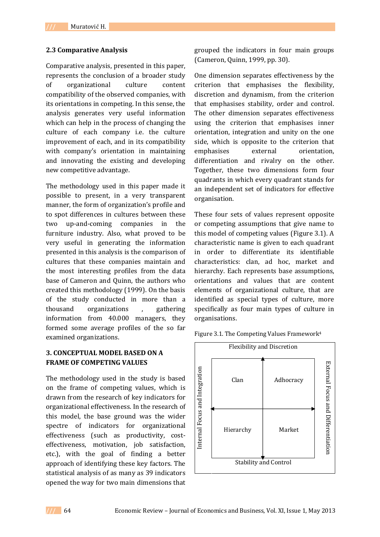#### **2.3 Comparative Analysis**

Comparative analysis, presented in this paper, represents the conclusion of a broader study of organizational culture content compatibility of the observed companies, with its orientations in competing. In this sense, the analysis generates very useful information which can help in the process of changing the culture of each company i.e. the culture improvement of each, and in its compatibility with company's orientation in maintaining and innovating the existing and developing new competitive advantage.

The methodology used in this paper made it possible to present, in a very transparent manner, the form of organization's profile and to spot differences in cultures between these two up-and-coming companies in the furniture industry. Also, what proved to be very useful in generating the information presented in this analysis is the comparison of cultures that these companies maintain and the most interesting profiles from the data base of Cameron and Quinn, the authors who created this methodology (1999). On the basis of the study conducted in more than a thousand organizations , gathering information from 40.000 managers, they formed some average profiles of the so far examined organizations.

## **3. CONCEPTUAL MODEL BASED ON A FRAME OF COMPETING VALUES**

The methodology used in the study is based on the frame of competing values, which is drawn from the research of key indicators for organizational effectiveness. In the research of this model, the base ground was the wider spectre of indicators for organizational effectiveness (such as productivity, costeffectiveness, motivation, job satisfaction, etc.), with the goal of finding a better approach of identifying these key factors. The statistical analysis of as many as 39 indicators opened the way for two main dimensions that grouped the indicators in four main groups (Cameron, Quinn, 1999, pp. 30).

One dimension separates effectiveness by the criterion that emphasises the flexibility, discretion and dynamism, from the criterion that emphasises stability, order and control. The other dimension separates effectiveness using the criterion that emphasises inner orientation, integration and unity on the one side, which is opposite to the criterion that emphasises external orientation, differentiation and rivalry on the other. Together, these two dimensions form four quadrants in which every quadrant stands for an independent set of indicators for effective organisation.

These four sets of values represent opposite or competing assumptions that give name to this model of competing values (Figure 3.1). A characteristic name is given to each quadrant in order to differentiate its identifiable characteristics: clan, ad hoc, market and hierarchy. Each represents base assumptions, orientations and values that are content elements of organizational culture, that are identified as special types of culture, more specifically as four main types of culture in organisations.

Figure 3.1. The Competing Values Framework<sup>4</sup>

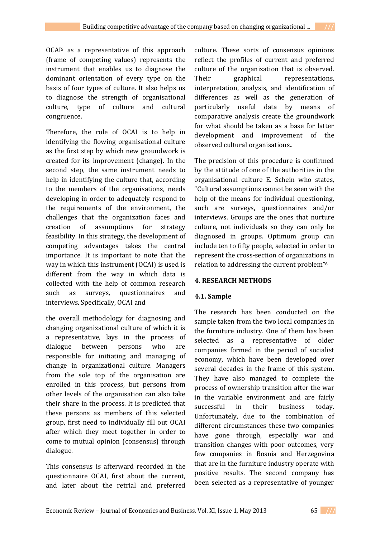OCAI<sup>5</sup> as a representative of this approach (frame of competing values) represents the instrument that enables us to diagnose the dominant orientation of every type on the basis of four types of culture. It also helps us to diagnose the strength of organisational culture, type of culture and cultural congruence.

Therefore, the role of OCAI is to help in identifying the flowing organisational culture as the first step by which new groundwork is created for its improvement (change). In the second step, the same instrument needs to help in identifying the culture that, according to the members of the organisations, needs developing in order to adequately respond to the requirements of the environment, the challenges that the organization faces and creation of assumptions for strategy feasibility. In this strategy, the development of competing advantages takes the central importance. It is important to note that the way in which this instrument (OCAI) is used is different from the way in which data is collected with the help of common research such as surveys, questionnaires and interviews. Specifically, OCAI and

the overall methodology for diagnosing and changing organizational culture of which it is a representative, lays in the process of dialogue between persons who are responsible for initiating and managing of change in organizational culture. Managers from the sole top of the organisation are enrolled in this process, but persons from other levels of the organisation can also take their share in the process. It is predicted that these persons as members of this selected group, first need to individually fill out OCAI after which they meet together in order to come to mutual opinion (consensus) through dialogue.

This consensus is afterward recorded in the questionnaire OCAI, first about the current, and later about the retrial and preferred

culture. These sorts of consensus opinions reflect the profiles of current and preferred culture of the organization that is observed. Their graphical representations, interpretation, analysis, and identification of differences as well as the generation of particularly useful data by means of comparative analysis create the groundwork for what should be taken as a base for latter development and improvement of the observed cultural organisations..

The precision of this procedure is confirmed by the attitude of one of the authorities in the organisational culture E. Schein who states, "Cultural assumptions cannot be seen with the help of the means for individual questioning, such are surveys, questionnaires and/or interviews. Groups are the ones that nurture culture, not individuals so they can only be diagnosed in groups. Optimum group can include ten to fifty people, selected in order to represent the cross-section of organizations in relation to addressing the current problem"<sup>6</sup>

## **4. RESEARCH METHODS**

## **4.1. Sample**

The research has been conducted on the sample taken from the two local companies in the furniture industry. One of them has been selected as a representative of older companies formed in the period of socialist economy, which have been developed over several decades in the frame of this system. They have also managed to complete the process of ownership transition after the war in the variable environment and are fairly successful in their business today. Unfortunately, due to the combination of different circumstances these two companies have gone through, especially war and transition changes with poor outcomes, very few companies in Bosnia and Herzegovina that are in the furniture industry operate with positive results. The second company has been selected as a representative of younger

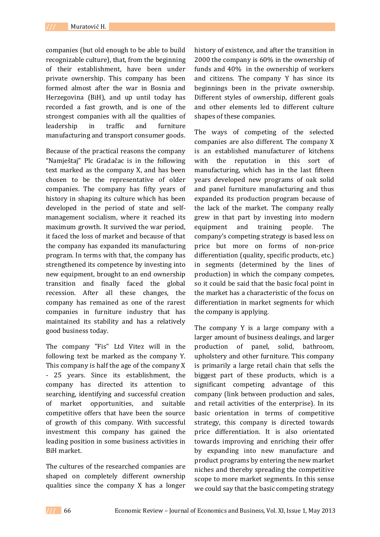companies (but old enough to be able to build recognizable culture), that, from the beginning of their establishment, have been under private ownership. This company has been formed almost after the war in Bosnia and Herzegovina (BiH), and up until today has recorded a fast growth, and is one of the strongest companies with all the qualities of leadership in traffic and furniture manufacturing and transport consumer goods.

Because of the practical reasons the company "Namještaj" Plc Gradačac is in the following text marked as the company X, and has been chosen to be the representative of older companies. The company has fifty years of history in shaping its culture which has been developed in the period of state and selfmanagement socialism, where it reached its maximum growth. It survived the war period, it faced the loss of market and because of that the company has expanded its manufacturing program. In terms with that, the company has strengthened its competence by investing into new equipment, brought to an end ownership transition and finally faced the global recession. After all these changes, the company has remained as one of the rarest companies in furniture industry that has maintained its stability and has a relatively good business today.

The company "Fis" Ltd Vitez will in the following text be marked as the company Y. This company is half the age of the company X - 25 years. Since its establishment, the company has directed its attention to searching, identifying and successful creation of market opportunities, and suitable competitive offers that have been the source of growth of this company. With successful investment this company has gained the leading position in some business activities in BiH market.

The cultures of the researched companies are shaped on completely different ownership qualities since the company X has a longer

history of existence, and after the transition in 2000 the company is 60% in the ownership of funds and 40% in the ownership of workers and citizens. The company Y has since its beginnings been in the private ownership. Different styles of ownership, different goals and other elements led to different culture shapes of these companies.

The ways of competing of the selected companies are also different. The company X is an established manufacturer of kitchens with the reputation in this sort of manufacturing, which has in the last fifteen years developed new programs of oak solid and panel furniture manufacturing and thus expanded its production program because of the lack of the market. The company really grew in that part by investing into modern equipment and training people. The company's competing strategy is based less on price but more on forms of non-price differentiation (quality, specific products, etc.) in segments (determined by the lines of production) in which the company competes, so it could be said that the basic focal point in the market has a characteristic of the focus on differentiation in market segments for which the company is applying.

The company Y is a large company with a larger amount of business dealings, and larger production of panel, solid, bathroom, upholstery and other furniture. This company is primarily a large retail chain that sells the biggest part of these products, which is a significant competing advantage of this company (link between production and sales, and retail activities of the enterprise). In its basic orientation in terms of competitive strategy, this company is directed towards price differentiation. It is also orientated towards improving and enriching their offer by expanding into new manufacture and product programs by entering the new market niches and thereby spreading the competitive scope to more market segments. In this sense we could say that the basic competing strategy

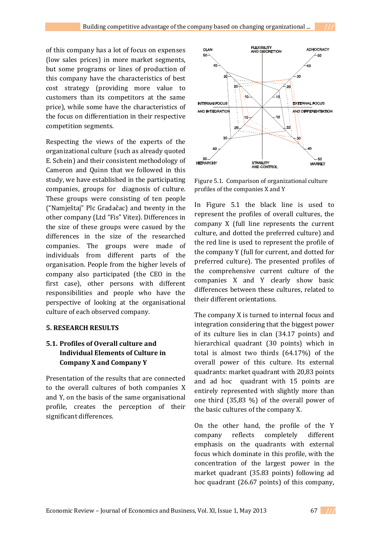of this company has a lot of focus on expenses (low sales prices) in more market segments, but some programs or lines of production of this company have the characteristics of best cost strategy (providing more value to customers than its competitors at the same price), while some have the characteristics of the focus on differentiation in their respective competition segments.

Respecting the views of the experts of the organizational culture (such as already quoted E. Schein) and their consistent methodology of Cameron and Quinn that we followed in this study, we have established in the participating companies, groups for diagnosis of culture. These groups were consisting of ten people ("Namještaj" Plc Gradačac) and twenty in the other company (Ltd "Fis" Vitez). Differences in the size of these groups were casued by the differences in the size of the researched companies. The groups were made of individuals from different parts of the organisation. People from the higher levels of company also participated (the CEO in the first case), other persons with different responsibilities and people who have the perspective of looking at the organisational culture of each observed company.

### **5. RESEARCH RESULTS**

# **5.1. Profiles of Overall culture and Individual Elements of Culture in Company X and Company Y**

Presentation of the results that are connected to the overall cultures of both companies X and Y, on the basis of the same organisational profile, creates the perception of their significant differences.



Figure 5.1. Comparison of organizational culture profiles of the companies X and Y

In Figure 5.1 the black line is used to represent the profiles of overall cultures, the company X (full line represents the current culture, and dotted the preferred culture) and the red line is used to represent the profile of the company Y (full for current, and dotted for preferred culture). The presented profiles of the comprehensive current culture of the companies X and Y clearly show basic differences between these cultures, related to their different orientations.

The company X is turned to internal focus and integration considering that the biggest power of its culture lies in clan (34.17 points) and hierarchical quadrant (30 points) which in total is almost two thirds (64.17%) of the overall power of this culture. Its external quadrants: market quadrant with 20,83 points and ad hoc quadrant with 15 points are entirely represented with slightly more than one third (35,83 %) of the overall power of the basic cultures of the company X.

On the other hand, the profile of the Y company reflects completely different emphasis on the quadrants with external focus which dominate in this profile, with the concentration of the largest power in the market quadrant (35.83 points) following ad hoc quadrant (26.67 points) of this company,

Economic Review – Journal of Economics and Business, Vol. XI, Issue 1, May 2013 67 **///**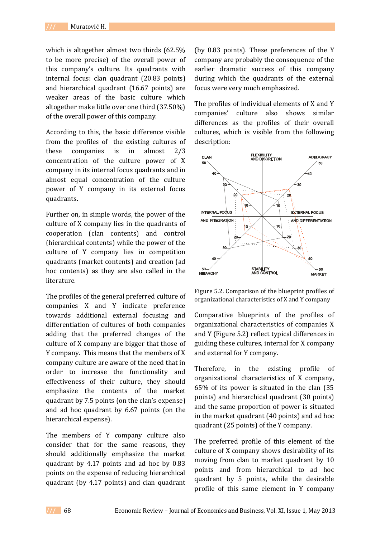which is altogether almost two thirds (62.5% to be more precise) of the overall power of this company's culture. Its quadrants with internal focus: clan quadrant (20.83 points) and hierarchical quadrant (16.67 points) are weaker areas of the basic culture which altogether make little over one third (37.50%) of the overall power of this company.

According to this, the basic difference visible from the profiles of the existing cultures of these companies is in almost 2/3 concentration of the culture power of X company in its internal focus quadrants and in almost equal concentration of the culture power of Y company in its external focus quadrants.

Further on, in simple words, the power of the culture of X company lies in the quadrants of cooperation (clan contents) and control (hierarchical contents) while the power of the culture of Y company lies in competition quadrants (market contents) and creation (ad hoc contents) as they are also called in the literature.

The profiles of the general preferred culture of companies X and Y indicate preference towards additional external focusing and differentiation of cultures of both companies adding that the preferred changes of the culture of X company are bigger that those of Y company. This means that the members of X company culture are aware of the need that in order to increase the functionality and effectiveness of their culture, they should emphasize the contents of the market quadrant by 7.5 points (on the clan's expense) and ad hoc quadrant by 6.67 points (on the hierarchical expense).

The members of Y company culture also consider that for the same reasons, they should additionally emphasize the market quadrant by 4.17 points and ad hoc by 0.83 points on the expense of reducing hierarchical quadrant (by 4.17 points) and clan quadrant (by 0.83 points). These preferences of the Y company are probably the consequence of the earlier dramatic success of this company during which the quadrants of the external focus were very much emphasized.

The profiles of individual elements of X and Y companies' culture also shows similar differences as the profiles of their overall cultures, which is visible from the following description:



Figure 5.2. Comparison of the blueprint profiles of organizational characteristics of X and Y company

Comparative blueprints of the profiles of organizational characteristics of companies X and Y (Figure 5.2) reflect typical differences in guiding these cultures, internal for X company and external for Y company.

Therefore, in the existing profile of organizational characteristics of X company, 65% of its power is situated in the clan (35 points) and hierarchical quadrant (30 points) and the same proportion of power is situated in the market quadrant (40 points) and ad hoc quadrant (25 points) of the Y company.

The preferred profile of this element of the culture of X company shows desirability of its moving from clan to market quadrant by 10 points and from hierarchical to ad hoc quadrant by 5 points, while the desirable profile of this same element in Y company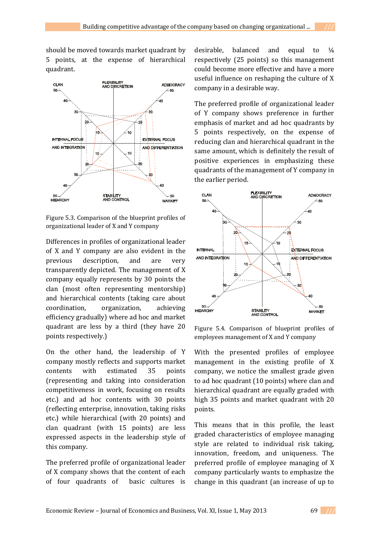should be moved towards market quadrant by 5 points, at the expense of hierarchical quadrant.



Figure 5.3. Comparison of the blueprint profiles of organizational leader of X and Y company

Differences in profiles of organizational leader of X and Y company are also evident in the previous description, and are very transparently depicted. The management of X company equally represents by 30 points the clan (most often representing mentorship) and hierarchical contents (taking care about coordination, organization, achieving efficiency gradually) where ad hoc and market quadrant are less by a third (they have 20 points respectively.)

On the other hand, the leadership of Y company mostly reflects and supports market contents with estimated 35 points (representing and taking into consideration competitiveness in work, focusing on results etc.) and ad hoc contents with 30 points (reflecting enterprise, innovation, taking risks etc.) while hierarchical (with 20 points) and clan quadrant (with 15 points) are less expressed aspects in the leadership style of this company.

The preferred profile of organizational leader of X company shows that the content of each of four quadrants of basic cultures is

desirable, balanced and equal to  $\frac{1}{4}$ respectively (25 points) so this management could become more effective and have a more useful influence on reshaping the culture of X company in a desirable way.

The preferred profile of organizational leader of Y company shows preference in further emphasis of market and ad hoc quadrants by 5 points respectively, on the expense of reducing clan and hierarchical quadrant in the same amount, which is definitely the result of positive experiences in emphasizing these quadrants of the management of Y company in the earlier period.



Figure 5.4. Comparison of blueprint profiles of employees management of X and Y company

With the presented profiles of employee management in the existing profile of X company, we notice the smallest grade given to ad hoc quadrant (10 points) where clan and hierarchical quadrant are equally graded with high 35 points and market quadrant with 20 points.

This means that in this profile, the least graded characteristics of employee managing style are related to individual risk taking, innovation, freedom, and uniqueness. The preferred profile of employee managing of X company particularly wants to emphasize the change in this quadrant (an increase of up to

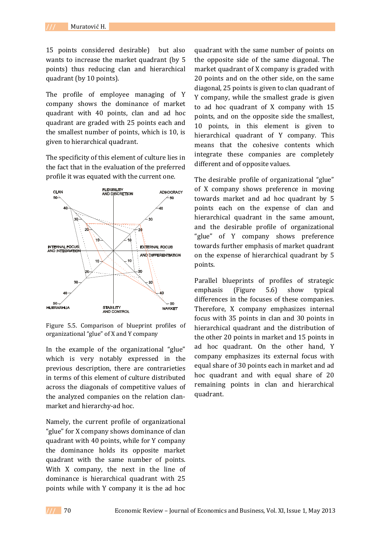15 points considered desirable) but also wants to increase the market quadrant (by 5 points) thus reducing clan and hierarchical quadrant (by 10 points).

The profile of employee managing of Y company shows the dominance of market quadrant with 40 points, clan and ad hoc quadrant are graded with 25 points each and the smallest number of points, which is 10, is given to hierarchical quadrant.

The specificity of this element of culture lies in the fact that in the evaluation of the preferred profile it was equated with the current one.



Figure 5.5. Comparison of blueprint profiles of organizational "glue" of X and Y company

In the example of the organizational "glue" which is very notably expressed in the previous description, there are contrarieties in terms of this element of culture distributed across the diagonals of competitive values of the analyzed companies on the relation clanmarket and hierarchy-ad hoc.

Namely, the current profile of organizational "glue" for X company shows dominance of clan quadrant with 40 points, while for Y company the dominance holds its opposite market quadrant with the same number of points. With X company, the next in the line of dominance is hierarchical quadrant with 25 points while with Y company it is the ad hoc

quadrant with the same number of points on the opposite side of the same diagonal. The market quadrant of X company is graded with 20 points and on the other side, on the same diagonal, 25 points is given to clan quadrant of Y company, while the smallest grade is given to ad hoc quadrant of X company with 15 points, and on the opposite side the smallest, 10 points, in this element is given to hierarchical quadrant of Y company. This means that the cohesive contents which integrate these companies are completely different and of opposite values.

The desirable profile of organizational "glue" of X company shows preference in moving towards market and ad hoc quadrant by 5 points each on the expense of clan and hierarchical quadrant in the same amount, and the desirable profile of organizational "glue" of Y company shows preference towards further emphasis of market quadrant on the expense of hierarchical quadrant by 5 points.

Parallel blueprints of profiles of strategic emphasis (Figure 5.6) show typical differences in the focuses of these companies. Therefore, X company emphasizes internal focus with 35 points in clan and 30 points in hierarchical quadrant and the distribution of the other 20 points in market and 15 points in ad hoc quadrant. On the other hand, Y company emphasizes its external focus with equal share of 30 points each in market and ad hoc quadrant and with equal share of 20 remaining points in clan and hierarchical quadrant.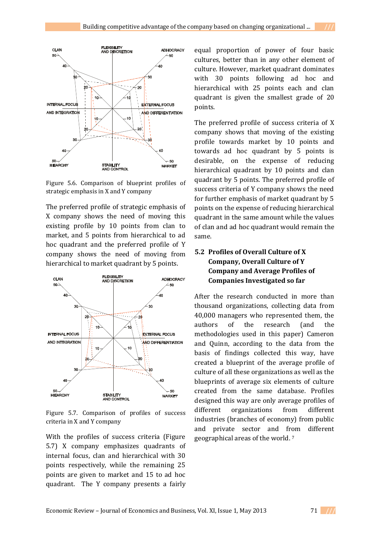

Figure 5.6. Comparison of blueprint profiles of strategic emphasis in X and Y company

The preferred profile of strategic emphasis of X company shows the need of moving this existing profile by 10 points from clan to market, and 5 points from hierarchical to ad hoc quadrant and the preferred profile of Y company shows the need of moving from hierarchical to market quadrant by 5 points.



Figure 5.7. Comparison of profiles of success criteria in X and Y company

With the profiles of success criteria (Figure 5.7) X company emphasizes quadrants of internal focus, clan and hierarchical with 30 points respectively, while the remaining 25 points are given to market and 15 to ad hoc quadrant. The Y company presents a fairly equal proportion of power of four basic cultures, better than in any other element of culture. However, market quadrant dominates with 30 points following ad hoc and hierarchical with 25 points each and clan quadrant is given the smallest grade of 20 points.

The preferred profile of success criteria of X company shows that moving of the existing profile towards market by 10 points and towards ad hoc quadrant by 5 points is desirable, on the expense of reducing hierarchical quadrant by 10 points and clan quadrant by 5 points. The preferred profile of success criteria of Y company shows the need for further emphasis of market quadrant by 5 points on the expense of reducing hierarchical quadrant in the same amount while the values of clan and ad hoc quadrant would remain the same.

# **5.2 Profiles of Overall Culture of X Company, Overall Culture of Y Company and Average Profiles of Companies Investigated so far**

After the research conducted in more than thousand organizations, collecting data from 40,000 managers who represented them, the authors of the research (and the methodologies used in this paper) Cameron and Quinn, according to the data from the basis of findings collected this way, have created a blueprint of the average profile of culture of all these organizations as well as the blueprints of average six elements of culture created from the same database. Profiles designed this way are only average profiles of different organizations from different industries (branches of economy) from public and private sector and from different geographical areas of the world. 7

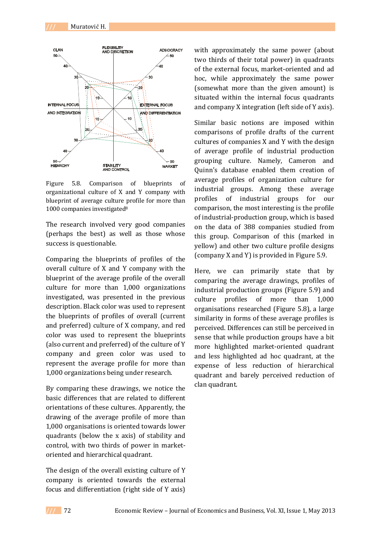

Figure 5.8. Comparison of blueprints of organizational culture of X and Y company with blueprint of average culture profile for more than 1000 companies investigated<sup>8</sup>

The research involved very good companies (perhaps the best) as well as those whose success is questionable.

Comparing the blueprints of profiles of the overall culture of X and Y company with the blueprint of the average profile of the overall culture for more than 1,000 organizations investigated, was presented in the previous description. Black color was used to represent the blueprints of profiles of overall (current and preferred) culture of X company, and red color was used to represent the blueprints (also current and preferred) of the culture of Y company and green color was used to represent the average profile for more than 1,000 organizations being under research.

By comparing these drawings, we notice the basic differences that are related to different orientations of these cultures. Apparently, the drawing of the average profile of more than 1,000 organisations is oriented towards lower quadrants (below the x axis) of stability and control, with two thirds of power in marketoriented and hierarchical quadrant.

The design of the overall existing culture of Y company is oriented towards the external focus and differentiation (right side of Y axis)

with approximately the same power (about two thirds of their total power) in quadrants of the external focus, market-oriented and ad hoc, while approximately the same power (somewhat more than the given amount) is situated within the internal focus quadrants and company X integration (left side of Y axis).

Similar basic notions are imposed within comparisons of profile drafts of the current cultures of companies X and Y with the design of average profile of industrial production grouping culture. Namely, Cameron and Quinn's database enabled them creation of average profiles of organization culture for industrial groups. Among these average profiles of industrial groups for our comparison, the most interesting is the profile of industrial-production group, which is based on the data of 388 companies studied from this group. Comparison of this (marked in yellow) and other two culture profile designs (company X and Y) is provided in Figure 5.9.

Here, we can primarily state that by comparing the average drawings, profiles of industrial production groups (Figure 5.9) and culture profiles of more than 1,000 organisations researched (Figure 5.8), a large similarity in forms of these average profiles is perceived. Differences can still be perceived in sense that while production groups have a bit more highlighted market-oriented quadrant and less highlighted ad hoc quadrant, at the expense of less reduction of hierarchical quadrant and barely perceived reduction of clan quadrant.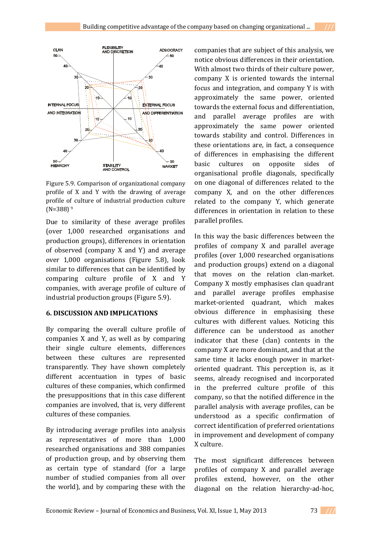

Figure 5.9. Comparison of organizational company profile of X and Y with the drawing of average profile of culture of industrial production culture  $(N=388)$ <sup>9</sup>

Due to similarity of these average profiles (over 1,000 researched organisations and production groups), differences in orientation of observed (company X and Y) and average over 1,000 organisations (Figure 5.8), look similar to differences that can be identified by comparing culture profile of X and Y companies, with average profile of culture of industrial production groups (Figure 5.9).

## **6. DISCUSSION AND IMPLICATIONS**

By comparing the overall culture profile of companies X and Y, as well as by comparing their single culture elements, differences between these cultures are represented transparently. They have shown completely different accentuation in types of basic cultures of these companies, which confirmed the presuppositions that in this case different companies are involved, that is, very different cultures of these companies.

By introducing average profiles into analysis as representatives of more than 1,000 researched organisations and 388 companies of production group, and by observing them as certain type of standard (for a large number of studied companies from all over the world), and by comparing these with the

companies that are subject of this analysis, we notice obvious differences in their orientation. With almost two thirds of their culture power, company X is oriented towards the internal focus and integration, and company Y is with approximately the same power, oriented towards the external focus and differentiation, and parallel average profiles are with approximately the same power oriented towards stability and control. Differences in these orientations are, in fact, a consequence of differences in emphasising the different basic cultures on opposite sides of organisational profile diagonals, specifically on one diagonal of differences related to the company X, and on the other differences related to the company Y, which generate differences in orientation in relation to these parallel profiles.

In this way the basic differences between the profiles of company X and parallel average profiles (over 1,000 researched organisations and production groups) extend on a diagonal that moves on the relation clan-market. Company X mostly emphasises clan quadrant and parallel average profiles emphasise market-oriented quadrant, which makes obvious difference in emphasising these cultures with different values. Noticing this difference can be understood as another indicator that these (clan) contents in the company X are more dominant, and that at the same time it lacks enough power in marketoriented quadrant. This perception is, as it seems, already recognised and incorporated in the preferred culture profile of this company, so that the notified difference in the parallel analysis with average profiles, can be understood as a specific confirmation of correct identification of preferred orientations in improvement and development of company X culture.

The most significant differences between profiles of company X and parallel average profiles extend, however, on the other diagonal on the relation hierarchy-ad-hoc,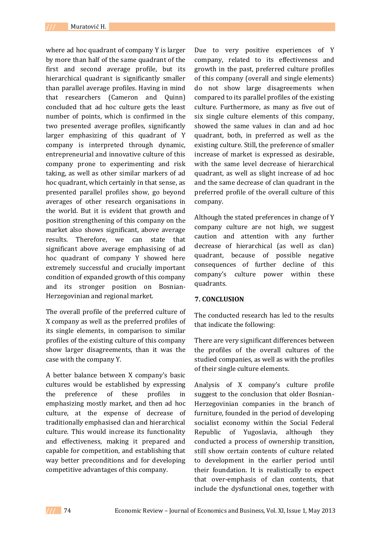where ad hoc quadrant of company Y is larger by more than half of the same quadrant of the first and second average profile, but its hierarchical quadrant is significantly smaller than parallel average profiles. Having in mind that researchers (Cameron and Quinn) concluded that ad hoc culture gets the least number of points, which is confirmed in the two presented average profiles, significantly larger emphasizing of this quadrant of Y company is interpreted through dynamic, entrepreneurial and innovative culture of this company prone to experimenting and risk taking, as well as other similar markers of ad hoc quadrant, which certainly in that sense, as presented parallel profiles show, go beyond averages of other research organisations in the world. But it is evident that growth and position strengthening of this company on the market also shows significant, above average results. Therefore, we can state that significant above average emphasising of ad hoc quadrant of company Y showed here extremely successful and crucially important condition of expanded growth of this company and its stronger position on Bosnian-Herzegovinian and regional market.

The overall profile of the preferred culture of X company as well as the preferred profiles of its single elements, in comparison to similar profiles of the existing culture of this company show larger disagreements, than it was the case with the company Y.

A better balance between X company's basic cultures would be established by expressing the preference of these profiles in emphasizing mostly market, and then ad hoc culture, at the expense of decrease of traditionally emphasised clan and hierarchical culture. This would increase its functionality and effectiveness, making it prepared and capable for competition, and establishing that way better preconditions and for developing competitive advantages of this company.

Due to very positive experiences of Y company, related to its effectiveness and growth in the past, preferred culture profiles of this company (overall and single elements) do not show large disagreements when compared to its parallel profiles of the existing culture. Furthermore, as many as five out of six single culture elements of this company, showed the same values in clan and ad hoc quadrant, both, in preferred as well as the existing culture. Still, the preference of smaller increase of market is expressed as desirable, with the same level decrease of hierarchical quadrant, as well as slight increase of ad hoc and the same decrease of clan quadrant in the preferred profile of the overall culture of this company.

Although the stated preferences in change of Y company culture are not high, we suggest caution and attention with any further decrease of hierarchical (as well as clan) quadrant, because of possible negative consequences of further decline of this company's culture power within these quadrants.

### **7. CONCLUSION**

The conducted research has led to the results that indicate the following:

There are very significant differences between the profiles of the overall cultures of the studied companies, as well as with the profiles of their single culture elements.

Analysis of X company's culture profile suggest to the conclusion that older Bosnian-Herzegovinian companies in the branch of furniture, founded in the period of developing socialist economy within the Social Federal Republic of Yugoslavia, although they conducted a process of ownership transition, still show certain contents of culture related to development in the earlier period until their foundation. It is realistically to expect that over-emphasis of clan contents, that include the dysfunctional ones, together with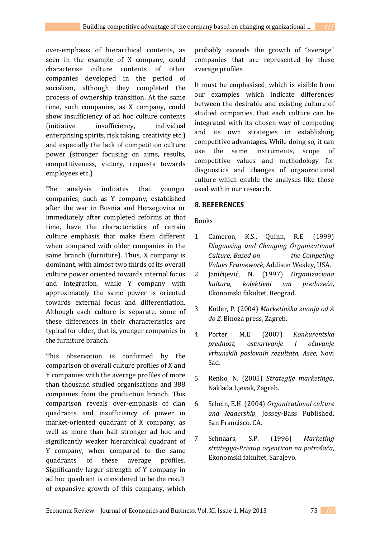over-emphasis of hierarchical contents, as seen in the example of X company, could characterise culture contents of other companies developed in the period of socialism, although they completed the process of ownership transition. At the same time, such companies, as X company, could show insufficiency of ad hoc culture contents (initiative insufficiency, individual enterprising spirits, risk taking, creativity etc.) and especially the lack of competition culture power (stronger focusing on aims, results, competitiveness, victory, requests towards employees etc.)

The analysis indicates that younger companies, such as Y company, established after the war in Bosnia and Herzegovina or immediately after completed reforms at that time, have the characteristics of certain culture emphasis that make them different when compared with older companies in the same branch (furniture). Thus, X company is dominant, with almost two thirds of its overall culture power oriented towards internal focus and integration, while Y company with approximately the same power is oriented towards external focus and differentiation. Although each culture is separate, some of these differences in their characteristics are typical for older, that is, younger companies in the furniture branch.

This observation is confirmed by the comparison of overall culture profiles of X and Y companies with the average profiles of more than thousand studied organisations and 388 companies from the production branch. This comparison reveals over-emphasis of clan quadrants and insufficiency of power in market-oriented quadrant of X company, as well as more than half stronger ad hoc and significantly weaker hierarchical quadrant of Y company, when compared to the same quadrants of these average profiles. Significantly larger strength of Y company in ad hoc quadrant is considered to be the result of expansive growth of this company, which probably exceeds the growth of "average" companies that are represented by these average profiles.

It must be emphasised, which is visible from our examples which indicate differences between the desirable and existing culture of studied companies, that each culture can be integrated with its chosen way of competing and its own strategies in establishing competitive advantages. While doing so, it can use the same instruments, scope of competitive values and methodology for diagnostics and changes of organizational culture which enable the analyses like those used within our research.

## **8. REFERENCES**

Books

- 1. Cameron, K.S., Quinn, R.E. (1999) *Diagnosing and Changing Organizational Culture, Based on the Competing Values Framework*, Addison Wesley, USA.
- 2. Janićijević, N. (1997) *Organizaciona kultura, kolektivni um preduzeća*, Ekonomski fakultet, Beograd.
- 3. Kotler, P. (2004) *Marketinška znanja od A do Z*, Binoza press, Zagreb.
- 4. Porter, M.E. (2007) *Konkurentska prednost, ostvarivanje i očuvanje vrhunskih poslovnih rezultata, Asee*, Novi Sad.
- 5. Renko, N. (2005) *Strategije marketinga*, Naklada Ljevak, Zagreb.
- 6. Schein, E.H. (2004) *Organizational culture and leadership,* Jossey-Bass Published, San Francisco, CA.
- 7. Schnaars, S.P. (1996) *Marketing strategija*-*Pristup orjentiran na potrošača*, Ekonomski fakultet, Sarajevo.